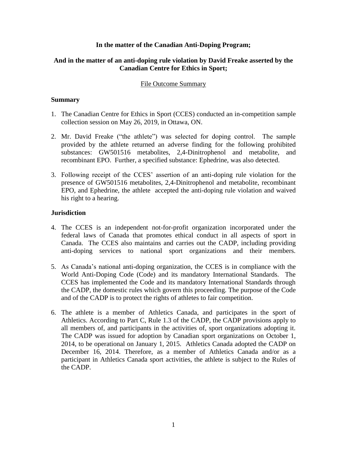# **In the matter of the Canadian Anti-Doping Program;**

# **And in the matter of an anti-doping rule violation by David Freake asserted by the Canadian Centre for Ethics in Sport;**

# File Outcome Summary

# **Summary**

- 1. The Canadian Centre for Ethics in Sport (CCES) conducted an in-competition sample collection session on May 26, 2019, in Ottawa, ON.
- 2. Mr. David Freake ("the athlete") was selected for doping control. The sample provided by the athlete returned an adverse finding for the following prohibited substances: GW501516 metabolites, 2,4-Dinitrophenol and metabolite, and recombinant EPO. Further, a specified substance: Ephedrine, was also detected.
- 3. Following receipt of the CCES' assertion of an anti-doping rule violation for the presence of GW501516 metabolites, 2,4-Dinitrophenol and metabolite, recombinant EPO, and Ephedrine, the athlete accepted the anti-doping rule violation and waived his right to a hearing.

#### **Jurisdiction**

- 4. The CCES is an independent not-for-profit organization incorporated under the federal laws of Canada that promotes ethical conduct in all aspects of sport in Canada. The CCES also maintains and carries out the CADP, including providing anti-doping services to national sport organizations and their members.
- 5. As Canada's national anti-doping organization, the CCES is in compliance with the World Anti-Doping Code (Code) and its mandatory International Standards. The CCES has implemented the Code and its mandatory International Standards through the CADP, the domestic rules which govern this proceeding. The purpose of the Code and of the CADP is to protect the rights of athletes to fair competition.
- 6. The athlete is a member of Athletics Canada, and participates in the sport of Athletics. According to Part C, Rule 1.3 of the CADP, the CADP provisions apply to all members of, and participants in the activities of, sport organizations adopting it. The CADP was issued for adoption by Canadian sport organizations on October 1, 2014, to be operational on January 1, 2015. Athletics Canada adopted the CADP on December 16, 2014. Therefore, as a member of Athletics Canada and/or as a participant in Athletics Canada sport activities, the athlete is subject to the Rules of the CADP.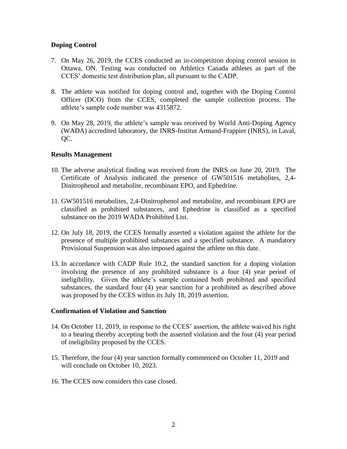# **Doping Control**

- 7. On May 26, 2019, the CCES conducted an in-competition doping control session in Ottawa, ON. Testing was conducted on Athletics Canada athletes as part of the CCES' domestic test distribution plan, all pursuant to the CADP.
- 8. The athlete was notified for doping control and, together with the Doping Control Officer (DCO) from the CCES, completed the sample collection process. The athlete's sample code number was 4315872.
- 9. On May 28, 2019, the athlete's sample was received by World Anti-Doping Agency (WADA) accredited laboratory, the INRS-Institut Armand-Frappier (INRS), in Laval, OC.

#### **Results Management**

- 10. The adverse analytical finding was received from the INRS on June 20, 2019. The Certificate of Analysis indicated the presence of GW501516 metabolites, 2,4- Dinitrophenol and metabolite, recombinant EPO, and Ephedrine.
- 11. GW501516 metabolites, 2,4-Dinitrophenol and metabolite, and recombinant EPO are classified as prohibited substances, and Ephedrine is classified as a specified substance on the 2019 WADA Prohibited List.
- 12. On July 18, 2019, the CCES formally asserted a violation against the athlete for the presence of multiple prohibited substances and a specified substance. A mandatory Provisional Suspension was also imposed against the athlete on this date.
- 13. In accordance with CADP Rule 10.2, the standard sanction for a doping violation involving the presence of any prohibited substance is a four (4) year period of ineligibility. Given the athlete's sample contained both prohibited and specified substances, the standard four (4) year sanction for a prohibited as described above was proposed by the CCES within its July 18, 2019 assertion.

#### **Confirmation of Violation and Sanction**

- 14. On October 11, 2019, in response to the CCES' assertion, the athlete waived his right to a hearing thereby accepting both the asserted violation and the four (4) year period of ineligibility proposed by the CCES.
- 15. Therefore, the four (4) year sanction formally commenced on October 11, 2019 and will conclude on October 10, 2023.
- 16. The CCES now considers this case closed.